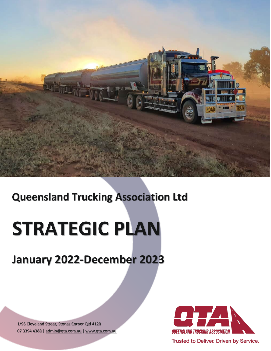

# **Queensland Trucking Association Ltd**

# **STRATEGIC PLAN**

# **January 2022-December 2023**

1/96 Cleveland Street, Stones Corner Qld 4120 07 3394 4388 | [admin@qta.com.au](mailto:admin@qta.com.au) | [www.qta.com.au](http://www.qta.com.au/)



Trusted to Deliver. Driven by Service.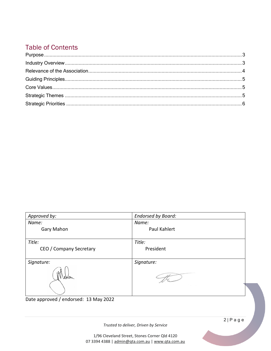# **Table of Contents**

| Approved by:            | <b>Endorsed by Board:</b> |
|-------------------------|---------------------------|
| Name:                   | Name:                     |
| Gary Mahon              | Paul Kahlert              |
|                         |                           |
| Title:                  | Title:                    |
| CEO / Company Secretary | President                 |
|                         |                           |
| Signature:              | Signature:                |
| waan                    |                           |

Date approved / endorsed: 13 May 2022

Trusted to deliver, Driven by Service

 $2|P \text{ a } q e$ 

1/96 Cleveland Street, Stones Corner Qld 4120 07 3394 4388 | admin@qta.com.au | www.qta.com.au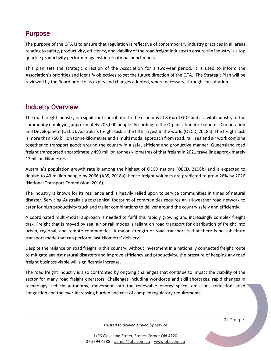#### <span id="page-2-0"></span>Purpose

The purpose of the QTA is to ensure that regulation is reflective of contemporary industry practices in all areas relating to safety, productivity, efficiency, and viability of the road freight industry to ensure the industry is a top quartile productivity performer against international benchmarks.

This plan sets the strategic direction of the Association for a two-year period. It is used to inform the Association's priorities and identify objectives to set the future direction of the QTA. The Strategic Plan will be reviewed by the Board prior to its expiry and changes adopted, where necessary, through consultation.

### <span id="page-2-1"></span>Industry Overview

The road freight industry is a significant contributor to the economy at 8.6% of GDP and is a vital industry to the community employing approximately 205,000 people. According to the Organisation for Economic Cooperation and Development (OECD), Australia's freight task is the fifth largest in the world (OECD, 2018a). The freight task is more than 750 billion tonne kilometres and a multi modal approach from road, rail, sea and air work combine together to transport goods around the country in a safe, efficient and productive manner. Queensland road freight transported approximately 490 million tonnes kilometres of that freight in 2021 travelling approximately 17 billion kilometres.

Australia's population growth rate is among the highest of OECD nations (OECD, 2108b) and is expected to double to 43 million people by 2066 (ABS, 2018a), hence freight volumes are predicted to grow 26% by 2026 (National Transport Commission, 2016).

The industry is known for its resilience and is heavily relied upon to service communities in times of natural disaster. Servicing Australia's geographical footprint of communities requires an all-weather road network to cater for high productivity truck and trailer combinations to deliver around the country safely and efficiently.

A coordinated multi-modal approach is needed to fulfil this rapidly growing and increasingly complex freight task. Freight that is moved by sea, air or rail modes is reliant on road transport for distribution of freight into urban, regional, and remote communities. A major strength of road transport is that there is no substitute transport mode that can perform 'last kilometre' delivery.

Despite the reliance on road freight in this country, without investment in a nationally connected freight route to mitigate against natural disasters and improve efficiency and productivity, the pressure of keeping any road freight business viable will significantly increase.

The road freight industry is also confronted by ongoing challenges that continue to impact the viability of the sector for many road freight operators. Challenges including workforce and skill shortages, rapid changes in technology, vehicle autonomy, movement into the renewable energy space, emissions reduction, road congestion and the ever-increasing burden and cost of complex regulatory requirements.

*Trusted to deliver, Driven by Service*

1/96 Cleveland Street, Stones Corner Qld 4120 07 3394 4388 | [admin@qta.com.au](mailto:admin@qta.com.au) | [www.qta.com.au](http://www.qta.com.au/) 3 | Page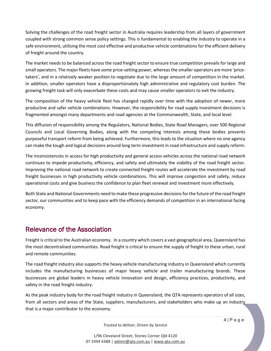Solving the challenges of the road freight sector in Australia requires leadership from all layers of government coupled with strong common sense policy settings. This is fundamental to enabling the industry to operate in a safe environment, utilising the most cost effective and productive vehicle combinations for the efficient delivery of freight around the country.

The market needs to be balanced across the road freight sector to ensure true competition prevails for large and small operators. The major fleets have some price-setting power, whereas the smaller operators are more 'pricetakers', and in a relatively weaker position to negotiate due to the large amount of competition in the market. In addition, smaller operators have a disproportionately high administrative and regulatory cost burden. The growing freight task will only exacerbate these costs and may cause smaller operators to exit the industry.

The composition of the heavy vehicle fleet has changed rapidly over time with the adoption of newer, more productive and safer vehicle combinations. However, the responsibility for road supply investment decisions is fragmented amongst many departments and road agencies at the Commonwealth, State, and local level.

This diffusion of responsibility among the Regulators, National Bodies, State Road Managers, over 500 Regional Councils and Local Governing Bodies, along with the competing interests among these bodies prevents purposeful transport reform from being achieved. Furthermore, this leads to the situation where no one agency can make the tough and logical decisions around long term investment in road infrastructure and supply reform.

The inconsistencies in access for high productivity and general access vehicles across the national road network continues to impede productivity, efficiency, and safety and ultimately the viability of the road freight sector. Improving the national road network to create connected freight routes will accelerate the investment by road freight businesses in high productivity vehicle combinations. This will improve congestion and safety, reduce operational costs and give business the confidence to plan fleet renewal and investment more effectively.

Both State and National Governments need to make these progressive decisions for the future of the road freight sector, our communities and to keep pace with the efficiency demands of competition in an international facing economy.

### <span id="page-3-0"></span>Relevance of the Association

Freight is critical to the Australian economy. In a country which covers a vast geographical area, Queensland has the most decentralised communities. Road freight is critical to ensure the supply of freight to these urban, rural and remote communities.

The road freight industry also supports the heavy vehicle manufacturing industry in Queensland which currently includes the manufacturing businesses of major heavy vehicle and trailer manufacturing brands. These businesses are global leaders in heavy vehicle innovation and design, efficiency practices, productivity, and safety in the road freight industry.

As the peak industry body for the road freight industry in Queensland, the QTA represents operators of all sizes, from all sectors and areas of the State, suppliers, manufacturers, and stakeholders who make up an industry that is a major contributor to the economy.

*Trusted to deliver, Driven by Service*

1/96 Cleveland Street, Stones Corner Qld 4120 07 3394 4388 | [admin@qta.com.au](mailto:admin@qta.com.au) | [www.qta.com.au](http://www.qta.com.au/)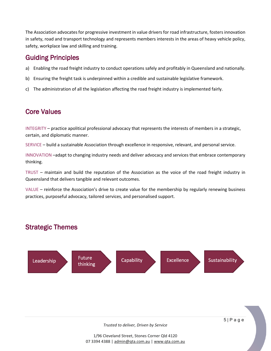The Association advocates for progressive investment in value drivers for road infrastructure, fosters innovation in safety, road and transport technology and represents members interests in the areas of heavy vehicle policy, safety, workplace law and skilling and training.

## <span id="page-4-0"></span>Guiding Principles

- a) Enabling the road freight industry to conduct operations safely and profitably in Queensland and nationally.
- b) Ensuring the freight task is underpinned within a credible and sustainable legislative framework.
- c) The administration of all the legislation affecting the road freight industry is implemented fairly.

## <span id="page-4-1"></span>Core Values

INTEGRITY – practice apolitical professional advocacy that represents the interests of members in a strategic, certain, and diplomatic manner.

SERVICE – build a sustainable Association through excellence in responsive, relevant, and personal service.

INNOVATION –adapt to changing industry needs and deliver advocacy and services that embrace contemporary thinking.

TRUST – maintain and build the reputation of the Association as the voice of the road freight industry in Queensland that delivers tangible and relevant outcomes.

VALUE – reinforce the Association's drive to create value for the membership by regularly renewing business practices, purposeful advocacy, tailored services, and personalised support.

# <span id="page-4-2"></span>Strategic Themes



*Trusted to deliver, Driven by Service*

1/96 Cleveland Street, Stones Corner Qld 4120 07 3394 4388 | [admin@qta.com.au](mailto:admin@qta.com.au) | [www.qta.com.au](http://www.qta.com.au/)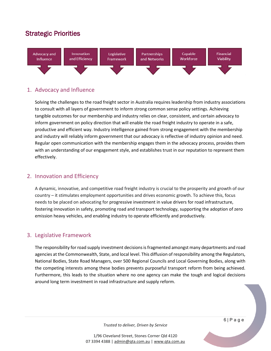# <span id="page-5-0"></span>Strategic Priorities



#### 1. Advocacy and Influence

Solving the challenges to the road freight sector in Australia requires leadership from industry associations to consult with all layers of government to inform strong common sense policy settings. Achieving tangible outcomes for our membership and industry relies on clear, consistent, and certain advocacy to inform government on policy direction that will enable the road freight industry to operate in a safe, productive and efficient way. Industry intelligence gained from strong engagement with the membership and industry will reliably inform government that our advocacy is reflective of industry opinion and need. Regular open communication with the membership engages them in the advocacy process, provides them with an understanding of our engagement style, and establishes trust in our reputation to represent them effectively.

#### 2. Innovation and Efficiency

A dynamic, innovative, and competitive road freight industry is crucial to the prosperity and growth of our country – it stimulates employment opportunities and drives economic growth. To achieve this, focus needs to be placed on advocating for progressive investment in value drivers for road infrastructure, fostering innovation in safety, promoting road and transport technology, supporting the adoption of zero emission heavy vehicles, and enabling industry to operate efficiently and productively.

#### 3. Legislative Framework

The responsibility for road supply investment decisions is fragmented amongst many departments and road agencies at the Commonwealth, State, and local level. This diffusion of responsibility among the Regulators, National Bodies, State Road Managers, over 500 Regional Councils and Local Governing Bodies, along with the competing interests among these bodies prevents purposeful transport reform from being achieved. Furthermore, this leads to the situation where no one agency can make the tough and logical decisions around long term investment in road infrastructure and supply reform.

*Trusted to deliver, Driven by Service*

1/96 Cleveland Street, Stones Corner Qld 4120 07 3394 4388 | [admin@qta.com.au](mailto:admin@qta.com.au) | [www.qta.com.au](http://www.qta.com.au/) 6 | Page